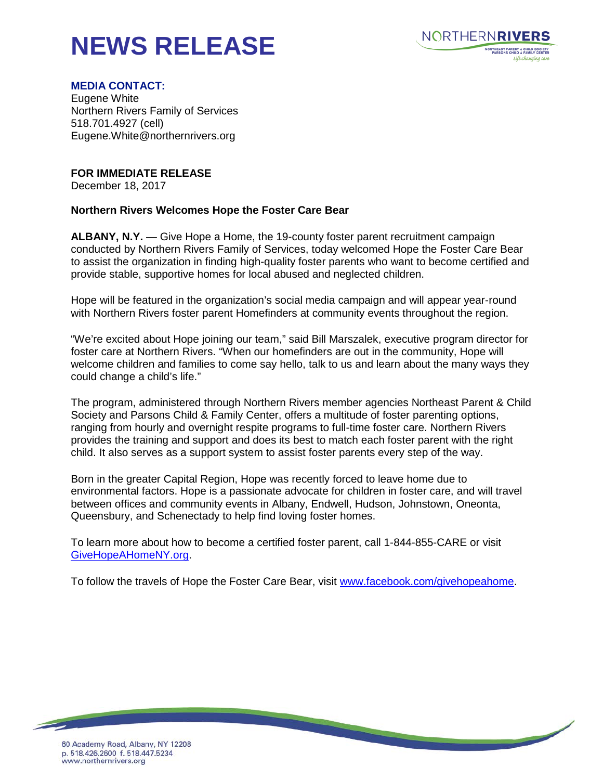## **NEWS RELEASE**



## **MEDIA CONTACT:**

Eugene White Northern Rivers Family of Services 518.701.4927 (cell) Eugene.White@northernrivers.org

**FOR IMMEDIATE RELEASE**

December 18, 2017

## **Northern Rivers Welcomes Hope the Foster Care Bear**

**ALBANY, N.Y.** — Give Hope a Home, the 19-county foster parent recruitment campaign conducted by Northern Rivers Family of Services, today welcomed Hope the Foster Care Bear to assist the organization in finding high-quality foster parents who want to become certified and provide stable, supportive homes for local abused and neglected children.

Hope will be featured in the organization's social media campaign and will appear year-round with Northern Rivers foster parent Homefinders at community events throughout the region.

"We're excited about Hope joining our team," said Bill Marszalek, executive program director for foster care at Northern Rivers. "When our homefinders are out in the community, Hope will welcome children and families to come say hello, talk to us and learn about the many ways they could change a child's life."

The program, administered through Northern Rivers member agencies Northeast Parent & Child Society and Parsons Child & Family Center, offers a multitude of foster parenting options, ranging from hourly and overnight respite programs to full-time foster care. Northern Rivers provides the training and support and does its best to match each foster parent with the right child. It also serves as a support system to assist foster parents every step of the way.

Born in the greater Capital Region, Hope was recently forced to leave home due to environmental factors. Hope is a passionate advocate for children in foster care, and will travel between offices and community events in Albany, Endwell, Hudson, Johnstown, Oneonta, Queensbury, and Schenectady to help find loving foster homes.

To learn more about how to become a certified foster parent, call 1-844-855-CARE or visit [GiveHopeAHomeNY.org.](http://www.givehopeahomeny.org/)

To follow the travels of Hope the Foster Care Bear, visit [www.facebook.com/givehopeahome.](http://www.facebook.com/givehopeahome)

<u> The Company of the Company of the Company of the Company of the Company of the Company of the Company of the Company of the Company of the Company of the Company of the Company of the Company of the Company of the Compan</u>

60 Academy Road, Albany, NY 12208 p. 518.426.2600 f. 518.447.5234 www.northernrivers.org